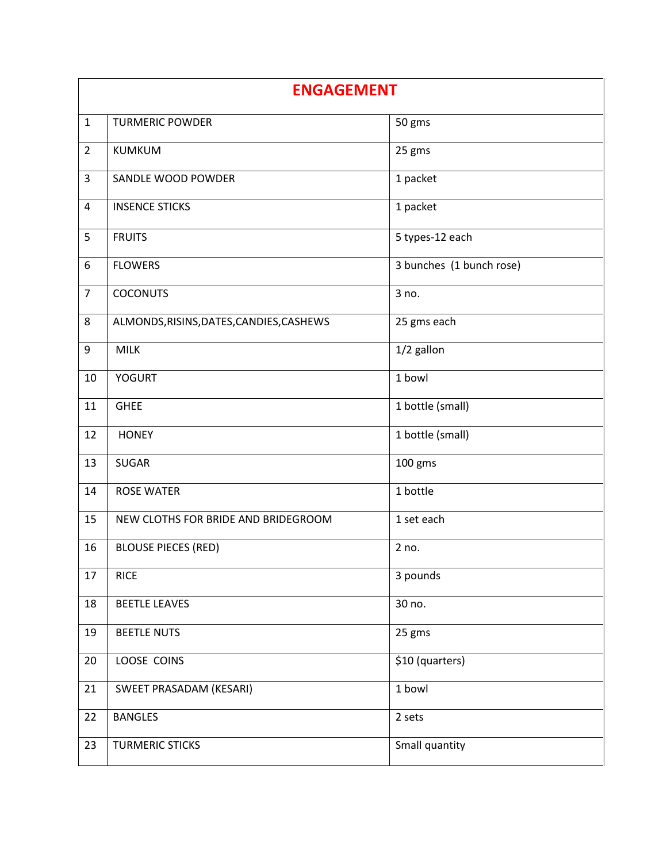| <b>ENGAGEMENT</b> |                                          |                          |
|-------------------|------------------------------------------|--------------------------|
| $\mathbf{1}$      | <b>TURMERIC POWDER</b>                   | 50 gms                   |
| $\overline{2}$    | <b>KUMKUM</b>                            | 25 gms                   |
| 3                 | SANDLE WOOD POWDER                       | 1 packet                 |
| 4                 | <b>INSENCE STICKS</b>                    | 1 packet                 |
| 5                 | <b>FRUITS</b>                            | 5 types-12 each          |
| 6                 | <b>FLOWERS</b>                           | 3 bunches (1 bunch rose) |
| $\overline{7}$    | <b>COCONUTS</b>                          | 3 no.                    |
| 8                 | ALMONDS, RISINS, DATES, CANDIES, CASHEWS | 25 gms each              |
| 9                 | <b>MILK</b>                              | 1/2 gallon               |
| 10                | <b>YOGURT</b>                            | 1 bowl                   |
| 11                | <b>GHEE</b>                              | 1 bottle (small)         |
| 12                | <b>HONEY</b>                             | 1 bottle (small)         |
| 13                | <b>SUGAR</b>                             | 100 gms                  |
| 14                | <b>ROSE WATER</b>                        | 1 bottle                 |
| 15                | NEW CLOTHS FOR BRIDE AND BRIDEGROOM      | 1 set each               |
| 16                | <b>BLOUSE PIECES (RED)</b>               | 2 no.                    |
| 17                | <b>RICE</b>                              | 3 pounds                 |
| 18                | <b>BEETLE LEAVES</b>                     | 30 no.                   |
| 19                | <b>BEETLE NUTS</b>                       | 25 gms                   |
| 20                | LOOSE COINS                              | \$10 (quarters)          |
| 21                | SWEET PRASADAM (KESARI)                  | 1 bowl                   |
| 22                | <b>BANGLES</b>                           | 2 sets                   |
| 23                | <b>TURMERIC STICKS</b>                   | Small quantity           |